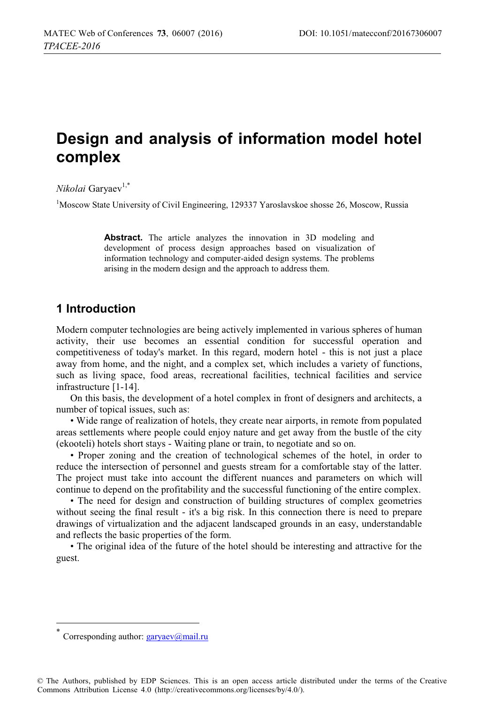# **Design and analysis of information model hotel complex**

*Nikolai* Garyaev<sup>1,\*</sup>

<sup>1</sup>Moscow State University of Civil Engineering, 129337 Yaroslavskoe shosse 26, Moscow, Russia

**Abstract.** The article analyzes the innovation in 3D modeling and development of process design approaches based on visualization of information technology and computer-aided design systems. The problems arising in the modern design and the approach to address them.

## **1 Introduction**

Modern computer technologies are being actively implemented in various spheres of human activity, their use becomes an essential condition for successful operation and competitiveness of today's market. In this regard, modern hotel - this is not just a place away from home, and the night, and a complex set, which includes a variety of functions, such as living space, food areas, recreational facilities, technical facilities and service infrastructure [1-14].

On this basis, the development of a hotel complex in front of designers and architects, a number of topical issues, such as:

• Wide range of realization of hotels, they create near airports, in remote from populated areas settlements where people could enjoy nature and get away from the bustle of the city (ekooteli) hotels short stays - Waiting plane or train, to negotiate and so on.

• Proper zoning and the creation of technological schemes of the hotel, in order to reduce the intersection of personnel and guests stream for a comfortable stay of the latter. The project must take into account the different nuances and parameters on which will continue to depend on the profitability and the successful functioning of the entire complex.

• The need for design and construction of building structures of complex geometries without seeing the final result - it's a big risk. In this connection there is need to prepare drawings of virtualization and the adjacent landscaped grounds in an easy, understandable and reflects the basic properties of the form.

• The original idea of the future of the hotel should be interesting and attractive for the guest.

 $\overline{a}$ 

Corresponding author:  $\frac{q \cdot q}{q \cdot q}$  mail.ru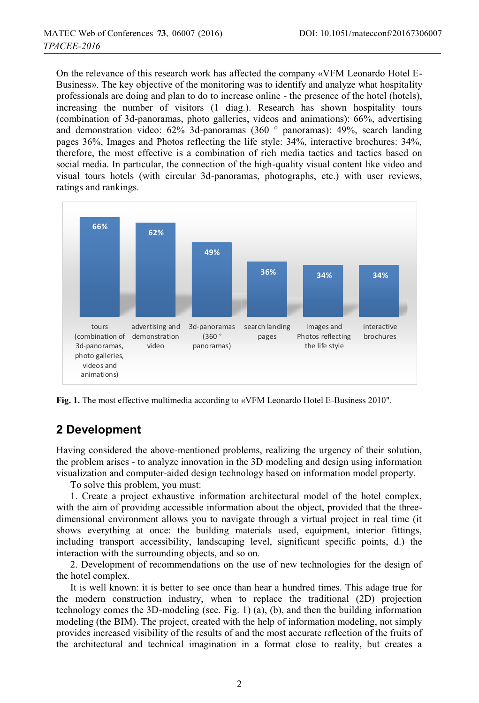On the relevance of this research work has affected the company «VFM Leonardo Hotel E-Business». The key objective of the monitoring was to identify and analyze what hospitality professionals are doing and plan to do to increase online - the presence of the hotel (hotels), increasing the number of visitors (1 diag.). Research has shown hospitality tours (combination of 3d-panoramas, photo galleries, videos and animations): 66%, advertising and demonstration video: 62% 3d-panoramas (360 ° panoramas): 49%, search landing pages 36%, Images and Photos reflecting the life style: 34%, interactive brochures: 34%, therefore, the most effective is a combination of rich media tactics and tactics based on social media. In particular, the connection of the high-quality visual content like video and visual tours hotels (with circular 3d-panoramas, photographs, etc.) with user reviews, ratings and rankings.



**Fig. 1.** The most effective multimedia according to «VFM Leonardo Hotel E-Business 2010".

# **2 Development**

Having considered the above-mentioned problems, realizing the urgency of their solution, the problem arises - to analyze innovation in the 3D modeling and design using information visualization and computer-aided design technology based on information model property.

To solve this problem, you must:

1. Create a project exhaustive information architectural model of the hotel complex, with the aim of providing accessible information about the object, provided that the threedimensional environment allows you to navigate through a virtual project in real time (it shows everything at once: the building materials used, equipment, interior fittings, including transport accessibility, landscaping level, significant specific points, d.) the interaction with the surrounding objects, and so on.

2. Development of recommendations on the use of new technologies for the design of the hotel complex.

It is well known: it is better to see once than hear a hundred times. This adage true for the modern construction industry, when to replace the traditional (2D) projection technology comes the 3D-modeling (see. Fig. 1) (a), (b), and then the building information modeling (the BIM). The project, created with the help of information modeling, not simply provides increased visibility of the results of and the most accurate reflection of the fruits of the architectural and technical imagination in a format close to reality, but creates a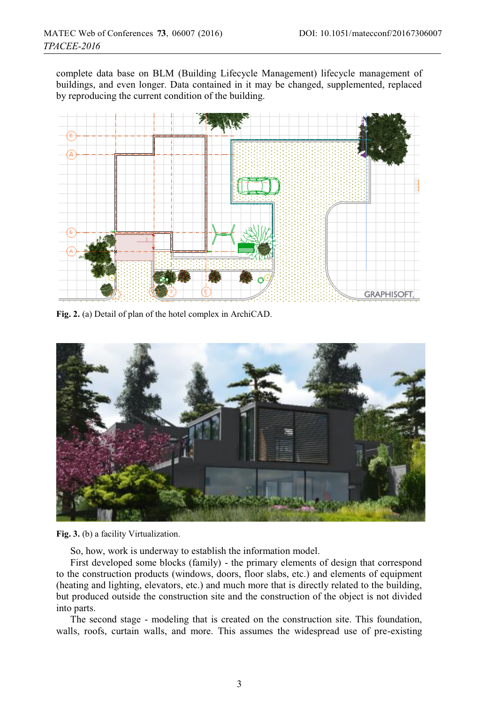complete data base on BLM (Building Lifecycle Management) lifecycle management of buildings, and even longer. Data contained in it may be changed, supplemented, replaced by reproducing the current condition of the building.



**Fig. 2.** (a) Detail of plan of the hotel complex in ArchiCAD.



**Fig. 3.** (b) a facility Virtualization.

So, how, work is underway to establish the information model.

First developed some blocks (family) - the primary elements of design that correspond to the construction products (windows, doors, floor slabs, etc.) and elements of equipment (heating and lighting, elevators, etc.) and much more that is directly related to the building, but produced outside the construction site and the construction of the object is not divided into parts.

The second stage - modeling that is created on the construction site. This foundation, walls, roofs, curtain walls, and more. This assumes the widespread use of pre-existing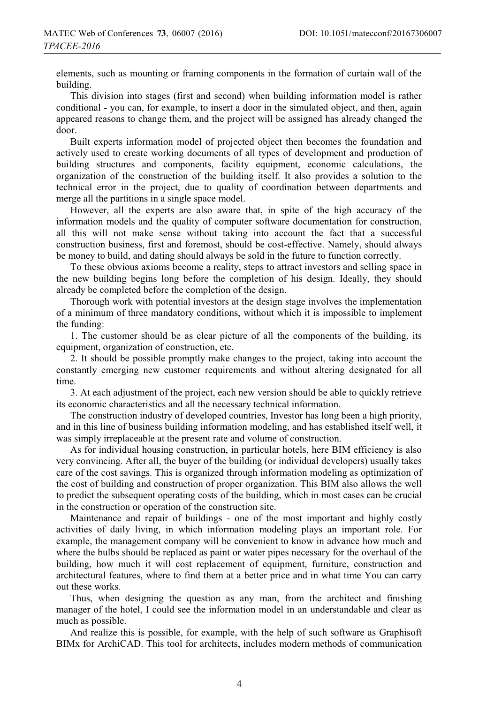elements, such as mounting or framing components in the formation of curtain wall of the building.

This division into stages (first and second) when building information model is rather conditional - you can, for example, to insert a door in the simulated object, and then, again appeared reasons to change them, and the project will be assigned has already changed the door.

Built experts information model of projected object then becomes the foundation and actively used to create working documents of all types of development and production of building structures and components, facility equipment, economic calculations, the organization of the construction of the building itself. It also provides a solution to the technical error in the project, due to quality of coordination between departments and merge all the partitions in a single space model.

However, all the experts are also aware that, in spite of the high accuracy of the information models and the quality of computer software documentation for construction, all this will not make sense without taking into account the fact that a successful construction business, first and foremost, should be cost-effective. Namely, should always be money to build, and dating should always be sold in the future to function correctly.

To these obvious axioms become a reality, steps to attract investors and selling space in the new building begins long before the completion of his design. Ideally, they should already be completed before the completion of the design.

Thorough work with potential investors at the design stage involves the implementation of a minimum of three mandatory conditions, without which it is impossible to implement the funding:

1. The customer should be as clear picture of all the components of the building, its equipment, organization of construction, etc.

2. It should be possible promptly make changes to the project, taking into account the constantly emerging new customer requirements and without altering designated for all time.

3. At each adjustment of the project, each new version should be able to quickly retrieve its economic characteristics and all the necessary technical information.

The construction industry of developed countries, Investor has long been a high priority, and in this line of business building information modeling, and has established itself well, it was simply irreplaceable at the present rate and volume of construction.

As for individual housing construction, in particular hotels, here BIM efficiency is also very convincing. After all, the buyer of the building (or individual developers) usually takes care of the cost savings. This is organized through information modeling as optimization of the cost of building and construction of proper organization. This BIM also allows the well to predict the subsequent operating costs of the building, which in most cases can be crucial in the construction or operation of the construction site.

Maintenance and repair of buildings - one of the most important and highly costly activities of daily living, in which information modeling plays an important role. For example, the management company will be convenient to know in advance how much and where the bulbs should be replaced as paint or water pipes necessary for the overhaul of the building, how much it will cost replacement of equipment, furniture, construction and architectural features, where to find them at a better price and in what time You can carry out these works.

Thus, when designing the question as any man, from the architect and finishing manager of the hotel, I could see the information model in an understandable and clear as much as possible.

And realize this is possible, for example, with the help of such software as Graphisoft BIMx for ArchiCAD. This tool for architects, includes modern methods of communication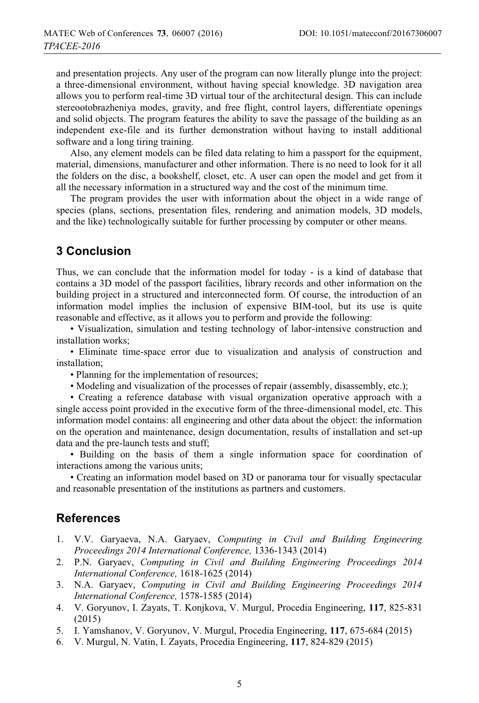and presentation projects. Any user of the program can now literally plunge into the project: a three-dimensional environment, without having special knowledge. 3D navigation area allows you to perform real-time 3D virtual tour of the architectural design. This can include stereootobrazheniya modes, gravity, and free flight, control layers, differentiate openings and solid objects. The program features the ability to save the passage of the building as an independent exe-file and its further demonstration without having to install additional software and a long tiring training.

Also, any element models can be filed data relating to him a passport for the equipment, material, dimensions, manufacturer and other information. There is no need to look for it all the folders on the disc, a bookshelf, closet, etc. A user can open the model and get from it all the necessary information in a structured way and the cost of the minimum time.

The program provides the user with information about the object in a wide range of species (plans, sections, presentation files, rendering and animation models, 3D models, and the like) technologically suitable for further processing by computer or other means.

## **3 Conclusion**

Thus, we can conclude that the information model for today - is a kind of database that contains a 3D model of the passport facilities, library records and other information on the building project in a structured and interconnected form. Of course, the introduction of an information model implies the inclusion of expensive BIM-tool, but its use is quite reasonable and effective, as it allows you to perform and provide the following:

• Visualization, simulation and testing technology of labor-intensive construction and installation works;

• Eliminate time-space error due to visualization and analysis of construction and installation;

• Planning for the implementation of resources;

• Modeling and visualization of the processes of repair (assembly, disassembly, etc.);

• Creating a reference database with visual organization operative approach with a single access point provided in the executive form of the three-dimensional model, etc. This information model contains: all engineering and other data about the object: the information on the operation and maintenance, design documentation, results of installation and set-up data and the pre-launch tests and stuff;

• Building on the basis of them a single information space for coordination of interactions among the various units;

• Creating an information model based on 3D or panorama tour for visually spectacular and reasonable presentation of the institutions as partners and customers.

#### **References**

- 1. V.V. Garyaeva, N.A. Garyaev, *Computing in Civil and Building Engineering Proceedings 2014 International Conference,* 1336-1343 (2014)
- 2. P.N. Garyaev, *Computing in Civil and Building Engineering Proceedings 2014 International Conference,* 1618-1625 (2014)
- 3. N.A. Garyaev, *Computing in Civil and Building Engineering Proceedings 2014 International Conference,* 1578-1585 (2014)
- 4. V. Goryunov, I. Zayats, T. Konjkova, V. Murgul, Procedia Engineering, **117**, 825-831 (2015)
- 5. I. Yamshanov, V. Goryunov, V. Murgul, Procedia Engineering, **117**, 675-684 (2015)
- 6. V. Murgul, N. Vatin, I. Zayats, Procedia Engineering, **117**, 824-829 (2015)